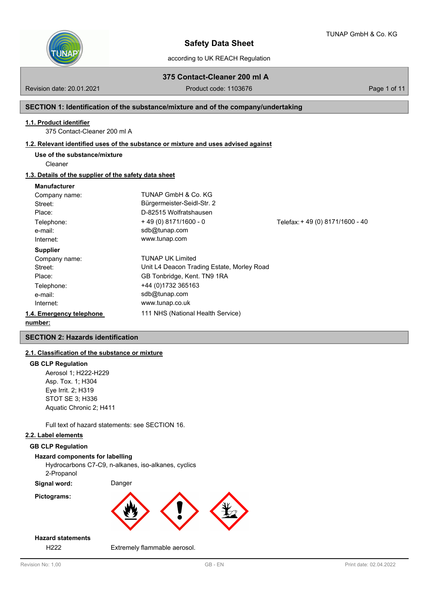

according to UK REACH Regulation

**375 Contact-Cleaner 200 ml A**

Revision date: 20.01.2021 **Product code: 1103676** Page 1 of 11

# **SECTION 1: Identification of the substance/mixture and of the company/undertaking**

### **1.1. Product identifier**

375 Contact-Cleaner 200 ml A

### **1.2. Relevant identified uses of the substance or mixture and uses advised against**

**Use of the substance/mixture**

Cleaner

# **1.3. Details of the supplier of the safety data sheet**

### **Manufacturer**

| Company name:            | TUNAP GmbH & Co. KG                        |                                  |
|--------------------------|--------------------------------------------|----------------------------------|
| Street:                  | Bürgermeister-Seidl-Str. 2                 |                                  |
| Place:                   | D-82515 Wolfratshausen                     |                                  |
| Telephone:               | $+49(0)8171/1600 - 0$                      | Telefax: + 49 (0) 8171/1600 - 40 |
| e-mail:                  | sdb@tunap.com                              |                                  |
| Internet:                | www.tunap.com                              |                                  |
| <b>Supplier</b>          |                                            |                                  |
| Company name:            | TUNAP UK Limited                           |                                  |
| Street:                  | Unit L4 Deacon Trading Estate, Morley Road |                                  |
| Place:                   | GB Tonbridge, Kent. TN9 1RA                |                                  |
| Telephone:               | +44 (0) 1732 365163                        |                                  |
| e-mail:                  | sdb@tunap.com                              |                                  |
| Internet:                | www.tunap.co.uk                            |                                  |
| 1.4. Emergency telephone | 111 NHS (National Health Service)          |                                  |
| number:                  |                                            |                                  |

# **SECTION 2: Hazards identification**

# **2.1. Classification of the substance or mixture**

### **GB CLP Regulation**

Aerosol 1; H222-H229 Asp. Tox. 1; H304 Eye Irrit. 2; H319 STOT SE 3; H336 Aquatic Chronic 2; H411

Full text of hazard statements: see SECTION 16.

# **2.2. Label elements**

### **GB CLP Regulation**

### **Hazard components for labelling**

Hydrocarbons C7-C9, n-alkanes, iso-alkanes, cyclics 2-Propanol

**Signal word:** Danger

### **Pictograms:**



# **Hazard statements**

H222 Extremely flammable aerosol.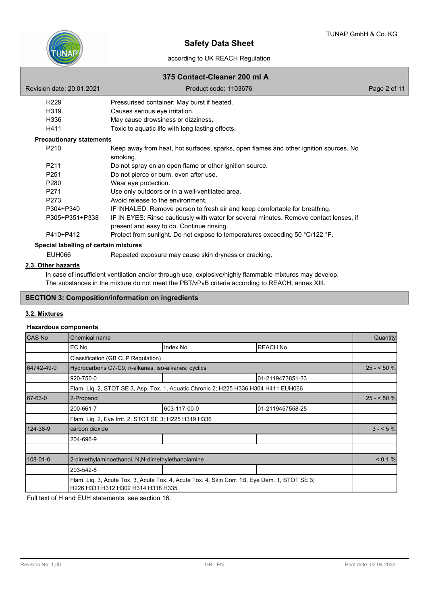

# according to UK REACH Regulation

# **375 Contact-Cleaner 200 ml A**

|                                       | PUIRAUL VRUHUI EUV IIII A                                                                                                           |              |
|---------------------------------------|-------------------------------------------------------------------------------------------------------------------------------------|--------------|
| Revision date: 20.01.2021             | Product code: 1103676                                                                                                               | Page 2 of 11 |
| H <sub>229</sub>                      | Pressurised container: May burst if heated.                                                                                         |              |
| H319                                  | Causes serious eye irritation.                                                                                                      |              |
| H336                                  | May cause drowsiness or dizziness.                                                                                                  |              |
| H411                                  | Toxic to aquatic life with long lasting effects.                                                                                    |              |
| <b>Precautionary statements</b>       |                                                                                                                                     |              |
| P210                                  | Keep away from heat, hot surfaces, sparks, open flames and other ignition sources. No<br>smoking.                                   |              |
| P <sub>211</sub>                      | Do not spray on an open flame or other ignition source.                                                                             |              |
| P <sub>251</sub>                      | Do not pierce or burn, even after use.                                                                                              |              |
| P280                                  | Wear eye protection.                                                                                                                |              |
| P <sub>271</sub>                      | Use only outdoors or in a well-ventilated area.                                                                                     |              |
| P273                                  | Avoid release to the environment.                                                                                                   |              |
| P304+P340                             | IF INHALED: Remove person to fresh air and keep comfortable for breathing.                                                          |              |
| P305+P351+P338                        | IF IN EYES: Rinse cautiously with water for several minutes. Remove contact lenses, if<br>present and easy to do. Continue rinsing. |              |
| P410+P412                             | Protect from sunlight. Do not expose to temperatures exceeding 50 °C/122 °F.                                                        |              |
| Special labelling of certain mixtures |                                                                                                                                     |              |
| EUH066                                | Repeated exposure may cause skin dryness or cracking.                                                                               |              |
|                                       |                                                                                                                                     |              |

### **2.3. Other hazards**

In case of insufficient ventilation and/or through use, explosive/highly flammable mixtures may develop. The substances in the mixture do not meet the PBT/vPvB criteria according to REACH, annex XIII.

# **SECTION 3: Composition/information on ingredients**

# **3.2. Mixtures**

### **Hazardous components**

| <b>CAS No</b> | Chemical name                                                                                                                       |                                                                                     |                  |            |  |
|---------------|-------------------------------------------------------------------------------------------------------------------------------------|-------------------------------------------------------------------------------------|------------------|------------|--|
|               | EC No                                                                                                                               | Index No                                                                            | <b>REACH No</b>  |            |  |
|               | Classification (GB CLP Regulation)                                                                                                  |                                                                                     |                  |            |  |
| 64742-49-0    | Hydrocarbons C7-C9, n-alkanes, iso-alkanes, cyclics                                                                                 |                                                                                     |                  | $25 - 50%$ |  |
|               | 920-750-0                                                                                                                           |                                                                                     | 01-2119473851-33 |            |  |
|               |                                                                                                                                     | Flam. Liq. 2, STOT SE 3, Asp. Tox. 1, Aquatic Chronic 2; H225 H336 H304 H411 EUH066 |                  |            |  |
| 67-63-0       | 2-Propanol                                                                                                                          |                                                                                     |                  |            |  |
|               | 200-661-7                                                                                                                           | 603-117-00-0                                                                        | 01-2119457558-25 |            |  |
|               | Flam. Lig. 2, Eye Irrit. 2, STOT SE 3; H225 H319 H336                                                                               |                                                                                     |                  |            |  |
| 124-38-9      | carbon dioxide                                                                                                                      |                                                                                     |                  | $3 - 5\%$  |  |
|               | 204-696-9                                                                                                                           |                                                                                     |                  |            |  |
| 108-01-0      | 2-dimethylaminoethanol, N,N-dimethylethanolamine                                                                                    |                                                                                     |                  |            |  |
|               | 203-542-8                                                                                                                           |                                                                                     |                  |            |  |
|               | Flam. Lig. 3, Acute Tox. 3, Acute Tox. 4, Acute Tox. 4, Skin Corr. 1B, Eye Dam. 1, STOT SE 3;<br>H226 H331 H312 H302 H314 H318 H335 |                                                                                     |                  |            |  |

Full text of H and EUH statements: see section 16.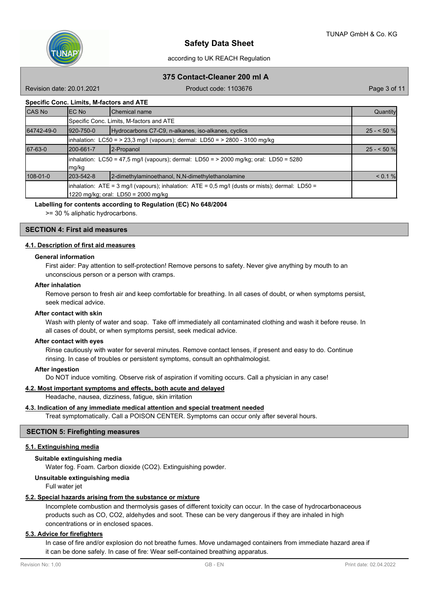

# according to UK REACH Regulation **375 Contact-Cleaner 200 ml A**

Revision date: 20.01.2021 **Product code: 1103676** Page 3 of 11

# **Specific Conc. Limits, M-factors and ATE**

| <b>CAS No</b> | IEC No     | <b>I</b> Chemical name                                                                                                                           | Quantity    |
|---------------|------------|--------------------------------------------------------------------------------------------------------------------------------------------------|-------------|
|               |            | Specific Conc. Limits, M-factors and ATE                                                                                                         |             |
| 64742-49-0    | 1920-750-0 | Hydrocarbons C7-C9, n-alkanes, iso-alkanes, cyclics                                                                                              | $25 - 50$ % |
|               |            | inhalation: LC50 = > 23,3 mg/l (vapours); dermal: LD50 = > 2800 - 3100 mg/kg                                                                     |             |
| 67-63-0       | l200-661-7 | 2-Propanol                                                                                                                                       | $25 - 50$ % |
|               | mg/kg      | $\lambda$ inhalation: LC50 = 47,5 mg/l (vapours); dermal: LD50 = > 2000 mg/kg; oral: LD50 = 5280                                                 |             |
| 108-01-0      | 1203-542-8 | 2-dimethylaminoethanol, N.N-dimethylethanolamine                                                                                                 | < 0.1 %     |
|               |            | $\text{linhalation:}$ ATE = 3 mg/l (vapours); inhalation: ATE = 0,5 mg/l (dusts or mists); dermal: LD50 =<br>1220 mg/kg; oral: LD50 = 2000 mg/kg |             |

### **Labelling for contents according to Regulation (EC) No 648/2004**

>= 30 % aliphatic hydrocarbons.

# **SECTION 4: First aid measures**

### **4.1. Description of first aid measures**

#### **General information**

First aider: Pay attention to self-protection! Remove persons to safety. Never give anything by mouth to an unconscious person or a person with cramps.

#### **After inhalation**

Remove person to fresh air and keep comfortable for breathing. In all cases of doubt, or when symptoms persist, seek medical advice.

### **After contact with skin**

Wash with plenty of water and soap. Take off immediately all contaminated clothing and wash it before reuse. In all cases of doubt, or when symptoms persist, seek medical advice.

#### **After contact with eyes**

Rinse cautiously with water for several minutes. Remove contact lenses, if present and easy to do. Continue rinsing. In case of troubles or persistent symptoms, consult an ophthalmologist.

### **After ingestion**

Do NOT induce vomiting. Observe risk of aspiration if vomiting occurs. Call a physician in any case!

#### **4.2. Most important symptoms and effects, both acute and delayed**

Headache, nausea, dizziness, fatigue, skin irritation

# **4.3. Indication of any immediate medical attention and special treatment needed**

Treat symptomatically. Call a POISON CENTER. Symptoms can occur only after several hours.

### **SECTION 5: Firefighting measures**

#### **5.1. Extinguishing media**

### **Suitable extinguishing media**

Water fog. Foam. Carbon dioxide (CO2). Extinguishing powder.

### **Unsuitable extinguishing media**

Full water jet

### **5.2. Special hazards arising from the substance or mixture**

Incomplete combustion and thermolysis gases of different toxicity can occur. In the case of hydrocarbonaceous products such as CO, CO2, aldehydes and soot. These can be very dangerous if they are inhaled in high concentrations or in enclosed spaces.

### **5.3. Advice for firefighters**

In case of fire and/or explosion do not breathe fumes. Move undamaged containers from immediate hazard area if it can be done safely. In case of fire: Wear self-contained breathing apparatus.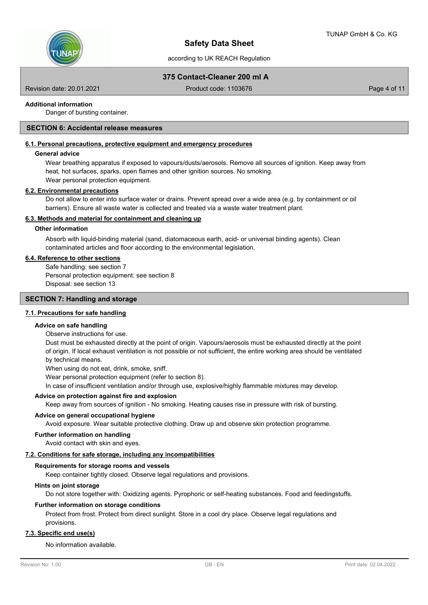

according to UK REACH Regulation

# **375 Contact-Cleaner 200 ml A**

Revision date: 20.01.2021 **Product code: 1103676** Page 4 of 11

### **Additional information**

Danger of bursting container.

# **SECTION 6: Accidental release measures**

# **6.1. Personal precautions, protective equipment and emergency procedures**

### **General advice**

Wear breathing apparatus if exposed to vapours/dusts/aerosols. Remove all sources of ignition. Keep away from heat, hot surfaces, sparks, open flames and other ignition sources. No smoking. Wear personal protection equipment.

#### **6.2. Environmental precautions**

Do not allow to enter into surface water or drains. Prevent spread over a wide area (e.g. by containment or oil barriers). Ensure all waste water is collected and treated via a waste water treatment plant.

### **6.3. Methods and material for containment and cleaning up**

### **Other information**

Absorb with liquid-binding material (sand, diatomaceous earth, acid- or universal binding agents). Clean contaminated articles and floor according to the environmental legislation.

### **6.4. Reference to other sections**

Safe handling: see section 7 Personal protection equipment: see section 8 Disposal: see section 13

# **SECTION 7: Handling and storage**

### **7.1. Precautions for safe handling**

### **Advice on safe handling**

Observe instructions for use.

Dust must be exhausted directly at the point of origin. Vapours/aerosols must be exhausted directly at the point of origin. If local exhaust ventilation is not possible or not sufficient, the entire working area should be ventilated by technical means.

When using do not eat, drink, smoke, sniff.

Wear personal protection equipment (refer to section 8).

In case of insufficient ventilation and/or through use, explosive/highly flammable mixtures may develop.

### **Advice on protection against fire and explosion**

Keep away from sources of ignition - No smoking. Heating causes rise in pressure with risk of bursting.

### **Advice on general occupational hygiene**

Avoid exposure. Wear suitable protective clothing. Draw up and observe skin protection programme.

### **Further information on handling**

Avoid contact with skin and eyes.

### **7.2. Conditions for safe storage, including any incompatibilities**

### **Requirements for storage rooms and vessels**

Keep container tightly closed. Observe legal regulations and provisions.

### **Hints on joint storage**

Do not store together with: Oxidizing agents. Pyrophoric or self-heating substances. Food and feedingstuffs.

### **Further information on storage conditions**

Protect from frost. Protect from direct sunlight. Store in a cool dry place. Observe legal regulations and provisions.

# **7.3. Specific end use(s)**

No information available.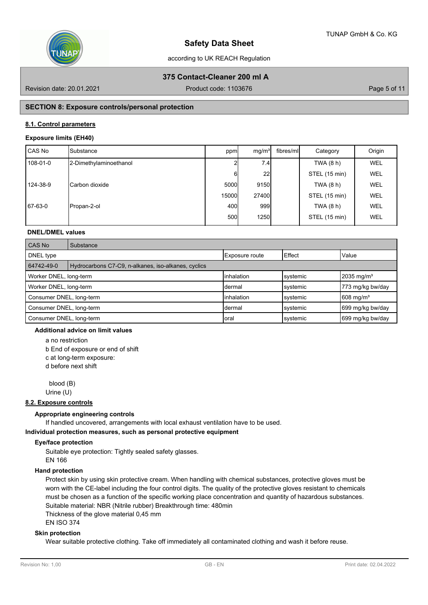

according to UK REACH Regulation

# **375 Contact-Cleaner 200 ml A**

Revision date: 20.01.2021 **Product code: 1103676** Page 5 of 11

# **SECTION 8: Exposure controls/personal protection**

# **8.1. Control parameters**

### **Exposure limits (EH40)**

| l CAS No | ISubstance              | ppm   | mg/m <sup>3</sup> | fibres/ml | Category      | Origin     |
|----------|-------------------------|-------|-------------------|-----------|---------------|------------|
| 108-01-0 | 2-Dimethylaminoethanol  |       | 7.4               |           | TWA (8 h)     | <b>WEL</b> |
|          |                         | 61    | 22                |           | STEL (15 min) | WEL        |
| 124-38-9 | <b>I</b> Carbon dioxide | 5000  | 9150              |           | TWA (8 h)     | WEL        |
|          |                         | 15000 | 27400             |           | STEL (15 min) | WEL        |
| 67-63-0  | Propan-2-ol             | 400l  | 999               |           | TWA (8 h)     | WEL        |
|          |                         | 500l  | 1250              |           | STEL (15 min) | WEL        |

# **DNEL/DMEL values**

| <b>CAS No</b>                                 | Substance                                           |                    |          |                          |  |  |  |
|-----------------------------------------------|-----------------------------------------------------|--------------------|----------|--------------------------|--|--|--|
| DNEL type                                     |                                                     | Exposure route     | Effect   | <b>Value</b>             |  |  |  |
| 64742-49-0                                    | Hydrocarbons C7-C9, n-alkanes, iso-alkanes, cyclics |                    |          |                          |  |  |  |
| Worker DNEL, long-term                        |                                                     | linhalation        | systemic | $2035 \,\mathrm{mg/m^3}$ |  |  |  |
| Worker DNEL, long-term                        |                                                     | Idermal            | systemic | 773 mg/kg bw/day         |  |  |  |
| Consumer DNEL, long-term                      |                                                     | <b>linhalation</b> | systemic | $1608$ mg/m <sup>3</sup> |  |  |  |
| Consumer DNEL, long-term                      |                                                     | Idermal            | systemic | 699 mg/kg bw/day         |  |  |  |
| Consumer DNEL, long-term<br>systemic<br>Ioral |                                                     |                    |          | 699 mg/kg bw/day         |  |  |  |

### **Additional advice on limit values**

a no restriction

b End of exposure or end of shift

c at long-term exposure:

d before next shift

 blood (B) Urine (U)

### **8.2. Exposure controls**

# **Appropriate engineering controls**

If handled uncovered, arrangements with local exhaust ventilation have to be used.

**Individual protection measures, such as personal protective equipment**

### **Eye/face protection**

Suitable eye protection: Tightly sealed safety glasses. EN 166

### **Hand protection**

Protect skin by using skin protective cream. When handling with chemical substances, protective gloves must be worn with the CE-label including the four control digits. The quality of the protective gloves resistant to chemicals must be chosen as a function of the specific working place concentration and quantity of hazardous substances. Suitable material: NBR (Nitrile rubber) Breakthrough time: 480min Thickness of the glove material 0,45 mm

EN ISO 374

# **Skin protection**

Wear suitable protective clothing. Take off immediately all contaminated clothing and wash it before reuse.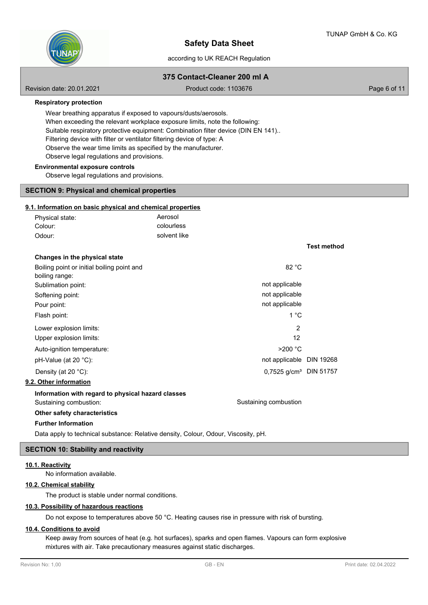**Test method**



# **Safety Data Sheet**

# according to UK REACH Regulation

# **375 Contact-Cleaner 200 ml A**

Revision date: 20.01.2021 **Product code: 1103676** Page 6 of 11

**Respiratory protection**

Wear breathing apparatus if exposed to vapours/dusts/aerosols. When exceeding the relevant workplace exposure limits, note the following: Suitable respiratory protective equipment: Combination filter device (DIN EN 141).. Filtering device with filter or ventilator filtering device of type: A Observe the wear time limits as specified by the manufacturer. Observe legal regulations and provisions.

#### **Environmental exposure controls**

Observe legal regulations and provisions.

# **SECTION 9: Physical and chemical properties**

### **9.1. Information on basic physical and chemical properties**

| Physical state: | Aerosol      |
|-----------------|--------------|
| Colour:         | colourless   |
| Odour:          | solvent like |

| Changes in the physical state                      |                                    |  |
|----------------------------------------------------|------------------------------------|--|
| Boiling point or initial boiling point and         | 82 °C                              |  |
| boiling range:                                     |                                    |  |
| Sublimation point:                                 | not applicable                     |  |
| Softening point:                                   | not applicable                     |  |
| Pour point:                                        | not applicable                     |  |
| Flash point:                                       | 1 °C                               |  |
| Lower explosion limits:                            | 2                                  |  |
| Upper explosion limits:                            | 12                                 |  |
| Auto-ignition temperature:                         | $>200$ °C                          |  |
| $pH-Value$ (at 20 $°C$ ):                          | not applicable DIN 19268           |  |
| Density (at 20 $°C$ ):                             | 0,7525 g/cm <sup>3</sup> DIN 51757 |  |
| 9.2. Other information                             |                                    |  |
| Information with regard to physical hazard classes |                                    |  |
| Sustaining combustion:                             | Sustaining combustion              |  |
| Other safety characteristics                       |                                    |  |
| <b>Further Information</b>                         |                                    |  |

Data apply to technical substance: Relative density, Colour, Odour, Viscosity, pH.

### **SECTION 10: Stability and reactivity**

### **10.1. Reactivity**

No information available.

# **10.2. Chemical stability**

The product is stable under normal conditions.

# **10.3. Possibility of hazardous reactions**

Do not expose to temperatures above 50 °C. Heating causes rise in pressure with risk of bursting.

# **10.4. Conditions to avoid**

Keep away from sources of heat (e.g. hot surfaces), sparks and open flames. Vapours can form explosive mixtures with air. Take precautionary measures against static discharges.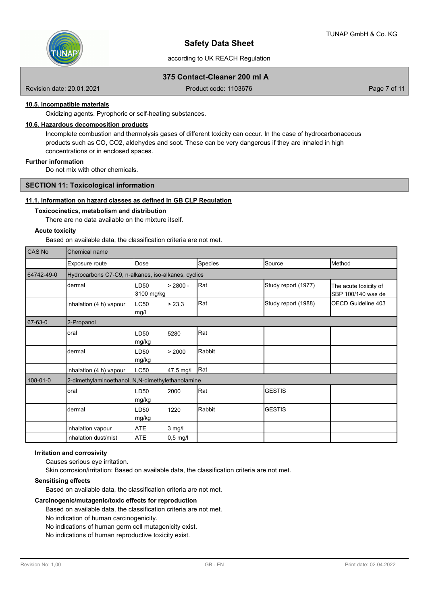

according to UK REACH Regulation

# **375 Contact-Cleaner 200 ml A**

Revision date: 20.01.2021 **Product code: 1103676** Page 7 of 11

# **10.5. Incompatible materials**

Oxidizing agents. Pyrophoric or self-heating substances.

# **10.6. Hazardous decomposition products**

Incomplete combustion and thermolysis gases of different toxicity can occur. In the case of hydrocarbonaceous products such as CO, CO2, aldehydes and soot. These can be very dangerous if they are inhaled in high concentrations or in enclosed spaces.

# **Further information**

Do not mix with other chemicals.

### **SECTION 11: Toxicological information**

### **11.1. Information on hazard classes as defined in GB CLP Regulation**

#### **Toxicocinetics, metabolism and distribution**

There are no data available on the mixture itself.

### **Acute toxicity**

Based on available data, the classification criteria are not met.

| CAS No     | Chemical name                                       |                           |            |         |                     |                                             |  |  |
|------------|-----------------------------------------------------|---------------------------|------------|---------|---------------------|---------------------------------------------|--|--|
|            | Exposure route                                      | Dose                      |            | Species | Source              | Method                                      |  |  |
| 64742-49-0 | Hydrocarbons C7-C9, n-alkanes, iso-alkanes, cyclics |                           |            |         |                     |                                             |  |  |
|            | dermal                                              | LD50<br>3100 mg/kg        | $> 2800 -$ | Rat     | Study report (1977) | The acute toxicity of<br>SBP 100/140 was de |  |  |
|            | inhalation (4 h) vapour                             | LC50<br>mg/l              | > 23,3     | Rat     | Study report (1988) | OECD Guideline 403                          |  |  |
| 67-63-0    | 2-Propanol                                          |                           |            |         |                     |                                             |  |  |
|            | oral                                                | LD50<br>mg/kg             | 5280       | Rat     |                     |                                             |  |  |
|            | dermal                                              | LD50<br>mg/kg             | > 2000     | Rabbit  |                     |                                             |  |  |
|            | inhalation (4 h) vapour                             | LC50                      | 47,5 mg/l  | Rat     |                     |                                             |  |  |
| 108-01-0   | 2-dimethylaminoethanol, N,N-dimethylethanolamine    |                           |            |         |                     |                                             |  |  |
|            | oral                                                | LD50<br>mg/kg             | 2000       | Rat     | <b>IGESTIS</b>      |                                             |  |  |
|            | dermal                                              | LD <sub>50</sub><br>mg/kg | 1220       | Rabbit  | <b>GESTIS</b>       |                                             |  |  |
|            | inhalation vapour                                   | <b>ATE</b>                | $3$ mg/l   |         |                     |                                             |  |  |
|            | inhalation dust/mist                                | <b>ATE</b>                | $0,5$ mg/l |         |                     |                                             |  |  |

### **Irritation and corrosivity**

Causes serious eye irritation.

Skin corrosion/irritation: Based on available data, the classification criteria are not met.

### **Sensitising effects**

Based on available data, the classification criteria are not met.

# **Carcinogenic/mutagenic/toxic effects for reproduction**

Based on available data, the classification criteria are not met.

No indication of human carcinogenicity.

No indications of human germ cell mutagenicity exist.

No indications of human reproductive toxicity exist.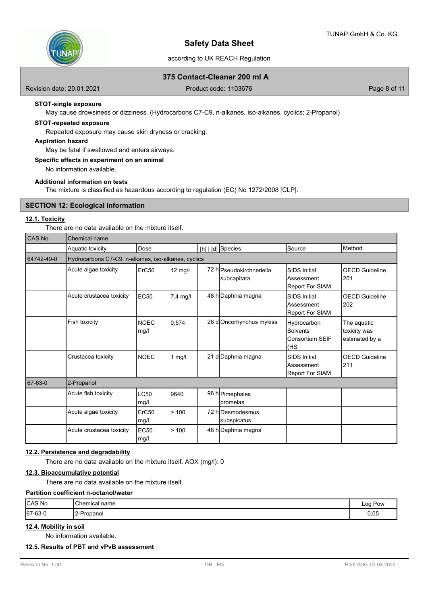

# according to UK REACH Regulation

# **375 Contact-Cleaner 200 ml A**

Revision date: 20.01.2021 **Product code: 1103676** Page 8 of 11

# **STOT-single exposure**

May cause drowsiness or dizziness. (Hydrocarbons C7-C9, n-alkanes, iso-alkanes, cyclics; 2-Propanol)

# **STOT-repeated exposure**

Repeated exposure may cause skin dryness or cracking.

### **Aspiration hazard**

May be fatal if swallowed and enters airways.

# **Specific effects in experiment on an animal**

No information available.

### **Additional information on tests**

The mixture is classified as hazardous according to regulation (EC) No 1272/2008 [CLP].

# **SECTION 12: Ecological information**

# **12.1. Toxicity**

There are no data available on the mixture itself.

| CAS No     | <b>Chemical name</b>     |                                                     |                   |  |                                         |                                                                      |                                               |  |  |
|------------|--------------------------|-----------------------------------------------------|-------------------|--|-----------------------------------------|----------------------------------------------------------------------|-----------------------------------------------|--|--|
|            | Aquatic toxicity         | Dose                                                |                   |  | [h]   [d] Species                       | <b>S</b> ource                                                       | Method                                        |  |  |
| 64742-49-0 |                          | Hydrocarbons C7-C9, n-alkanes, iso-alkanes, cyclics |                   |  |                                         |                                                                      |                                               |  |  |
|            | Acute algae toxicity     | ErC <sub>50</sub>                                   | $12 \text{ mg/l}$ |  | 72 hlPseudokirchneriella<br>subcapitata | <b>SIDS</b> Initial<br><b>Assessment</b><br>Report For SIAM          | <b>OECD Guideline</b><br>201                  |  |  |
|            | Acute crustacea toxicity | <b>EC50</b>                                         | 7,4 mg/l          |  | 48 h Daphnia magna                      | <b>SIDS Initial</b><br>Assessment<br>Report For SIAM                 | <b>OECD Guideline</b><br>202                  |  |  |
|            | Fish toxicity            | <b>NOEC</b><br>mg/l                                 | 0,574             |  | 28 d Oncorhynchus mykiss                | Hydrocarbon<br>Solvents<br>Consortium SEIF<br>KHS                    | The aquatic<br>toxicity was<br>estimated by a |  |  |
|            | Crustacea toxicity       | <b>NOEC</b>                                         | 1 $mg/l$          |  | 21 d Daphnia magna                      | <b>SIDS Initial</b><br><b>I</b> Assessment<br><b>Report For SIAM</b> | <b>OECD Guideline</b><br>211                  |  |  |
| 67-63-0    | 2-Propanol               |                                                     |                   |  |                                         |                                                                      |                                               |  |  |
|            | Acute fish toxicity      | <b>LC50</b><br>mg/l                                 | 9640              |  | 96 h Pimephales<br>Ipromelas            |                                                                      |                                               |  |  |
|            | Acute algae toxicity     | ErC50<br>mg/l                                       | >100              |  | 72 hlDesmodesmus<br>subspicatus         |                                                                      |                                               |  |  |
|            | Acute crustacea toxicity | <b>EC50</b><br>mg/l                                 | >100              |  | 48 h Daphnia magna                      |                                                                      |                                               |  |  |

### **12.2. Persistence and degradability**

There are no data available on the mixture itself. AOX (mg/l): 0

# **12.3. Bioaccumulative potential**

There are no data available on the mixture itself.

# **Partition coefficient n-octanol/water**

| CAS No  | Chemical name           | --<br>Log<br>$v_{\text{OW}}$ |
|---------|-------------------------|------------------------------|
| 67-63-0 | -<br><b>I2-Propanol</b> | 0,05                         |

# **12.4. Mobility in soil**

No information available.

# **12.5. Results of PBT and vPvB assessment**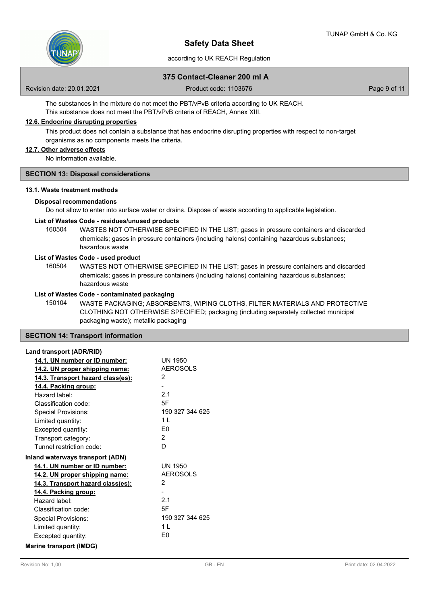

# according to UK REACH Regulation

# **375 Contact-Cleaner 200 ml A**

Revision date: 20.01.2021 **Product code: 1103676** Page 9 of 11

The substances in the mixture do not meet the PBT/vPvB criteria according to UK REACH. This substance does not meet the PBT/vPvB criteria of REACH, Annex XIII.

# **12.6. Endocrine disrupting properties**

This product does not contain a substance that has endocrine disrupting properties with respect to non-target organisms as no components meets the criteria.

# **12.7. Other adverse effects**

No information available.

### **SECTION 13: Disposal considerations**

# **13.1. Waste treatment methods**

### **Disposal recommendations**

Do not allow to enter into surface water or drains. Dispose of waste according to applicable legislation.

### **List of Wastes Code - residues/unused products**

160504 WASTES NOT OTHERWISE SPECIFIED IN THE LIST; gases in pressure containers and discarded chemicals; gases in pressure containers (including halons) containing hazardous substances; hazardous waste

### **List of Wastes Code - used product**

WASTES NOT OTHERWISE SPECIFIED IN THE LIST; gases in pressure containers and discarded chemicals; gases in pressure containers (including halons) containing hazardous substances; hazardous waste 160504

### **List of Wastes Code - contaminated packaging**

WASTE PACKAGING; ABSORBENTS, WIPING CLOTHS, FILTER MATERIALS AND PROTECTIVE CLOTHING NOT OTHERWISE SPECIFIED; packaging (including separately collected municipal packaging waste); metallic packaging 150104

### **SECTION 14: Transport information**

### **Land transport (ADR/RID)**

| 14.1. UN number or ID number:            | <b>UN 1950</b>  |
|------------------------------------------|-----------------|
| <u>14.2. UN proper shipping name:</u>    | <b>AEROSOLS</b> |
| <u>14.3. Transport hazard class(es):</u> | 2               |
| 14.4. Packing group:                     |                 |
| Hazard label:                            | 2.1             |
| Classification code:                     | 5F              |
| <b>Special Provisions:</b>               | 190 327 344 625 |
| Limited quantity:                        | 1 <sup>1</sup>  |
| Excepted quantity:                       | F <sub>0</sub>  |
| Transport category:                      | $\mathcal{P}$   |
| Tunnel restriction code:                 | D               |
| Inland waterways transport (ADN)         |                 |
| 14.1. UN number or ID number:            | UN 1950         |
| 14.2. UN proper shipping name:           | <b>AEROSOLS</b> |
| <u>14.3. Transport hazard class(es):</u> | 2               |
| 14.4. Packing group:                     |                 |
| Hazard label:                            | 2.1             |
| Classification code:                     | 5F              |
| Special Provisions:                      | 190 327 344 625 |
| Limited quantity:                        | 1 <sup>1</sup>  |
| Excepted quantity:                       | E0              |
| <b>Marine transport (IMDG)</b>           |                 |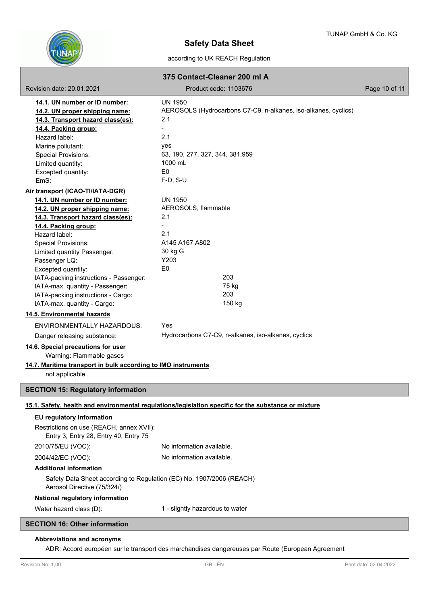

according to UK REACH Regulation

|                                                                                                     | 375 Contact-Cleaner 200 ml A                                                                         |               |
|-----------------------------------------------------------------------------------------------------|------------------------------------------------------------------------------------------------------|---------------|
| Revision date: 20.01.2021                                                                           | Product code: 1103676                                                                                | Page 10 of 11 |
| 14.1. UN number or ID number:                                                                       | <b>UN 1950</b>                                                                                       |               |
| 14.2. UN proper shipping name:                                                                      | AEROSOLS (Hydrocarbons C7-C9, n-alkanes, iso-alkanes, cyclics)                                       |               |
| 14.3. Transport hazard class(es):                                                                   | 2.1                                                                                                  |               |
| 14.4. Packing group:                                                                                |                                                                                                      |               |
| Hazard label:                                                                                       | 2.1                                                                                                  |               |
| Marine pollutant:                                                                                   | yes                                                                                                  |               |
| Special Provisions:                                                                                 | 63, 190, 277, 327, 344, 381, 959                                                                     |               |
| Limited quantity:                                                                                   | 1000 mL                                                                                              |               |
| Excepted quantity:<br>EmS:                                                                          | E <sub>0</sub><br>$F-D, S-U$                                                                         |               |
| Air transport (ICAO-TI/IATA-DGR)                                                                    |                                                                                                      |               |
| 14.1. UN number or ID number:                                                                       | <b>UN 1950</b>                                                                                       |               |
| 14.2. UN proper shipping name:                                                                      | AEROSOLS, flammable                                                                                  |               |
| 14.3. Transport hazard class(es):                                                                   | 2.1                                                                                                  |               |
| 14.4. Packing group:                                                                                |                                                                                                      |               |
| Hazard label:                                                                                       | 2.1                                                                                                  |               |
| <b>Special Provisions:</b>                                                                          | A145 A167 A802                                                                                       |               |
| Limited quantity Passenger:                                                                         | 30 kg G                                                                                              |               |
| Passenger LQ:                                                                                       | Y203                                                                                                 |               |
| Excepted quantity:                                                                                  | E <sub>0</sub>                                                                                       |               |
| IATA-packing instructions - Passenger:                                                              | 203                                                                                                  |               |
| IATA-max. quantity - Passenger:                                                                     | 75 kg<br>203                                                                                         |               |
| IATA-packing instructions - Cargo:                                                                  | 150 kg                                                                                               |               |
| IATA-max. quantity - Cargo:<br>14.5. Environmental hazards                                          |                                                                                                      |               |
|                                                                                                     |                                                                                                      |               |
| <b>ENVIRONMENTALLY HAZARDOUS:</b>                                                                   | Yes                                                                                                  |               |
| Danger releasing substance:                                                                         | Hydrocarbons C7-C9, n-alkanes, iso-alkanes, cyclics                                                  |               |
| 14.6. Special precautions for user                                                                  |                                                                                                      |               |
| Warning: Flammable gases<br>14.7. Maritime transport in bulk according to IMO instruments           |                                                                                                      |               |
| not applicable                                                                                      |                                                                                                      |               |
|                                                                                                     |                                                                                                      |               |
| <b>SECTION 15: Regulatory information</b>                                                           |                                                                                                      |               |
|                                                                                                     | 15.1. Safety, health and environmental regulations/legislation specific for the substance or mixture |               |
| EU regulatory information                                                                           |                                                                                                      |               |
| Restrictions on use (REACH, annex XVII):<br>Entry 3, Entry 28, Entry 40, Entry 75                   |                                                                                                      |               |
| 2010/75/EU (VOC):                                                                                   | No information available.                                                                            |               |
| 2004/42/EC (VOC):                                                                                   | No information available.                                                                            |               |
| <b>Additional information</b>                                                                       |                                                                                                      |               |
| Safety Data Sheet according to Regulation (EC) No. 1907/2006 (REACH)<br>Aerosol Directive (75/324/) |                                                                                                      |               |
| National regulatory information                                                                     |                                                                                                      |               |
| Water hazard class (D):                                                                             | 1 - slightly hazardous to water                                                                      |               |
| <b>SECTION 16: Other information</b>                                                                |                                                                                                      |               |

# **Abbreviations and acronyms**

ADR: Accord européen sur le transport des marchandises dangereuses par Route (European Agreement